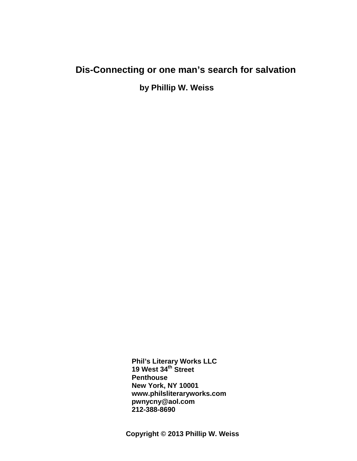# **Dis-Connecting or one man's search for salvation**

 **by Phillip W. Weiss**

 **Phil's Literary Works LLC 19 West 34th Street Penthouse New York, NY 10001 [www.philsliteraryworks.com](http://www.philsliteraryworks.com/) [pwnycny@aol.com](mailto:pwnycny@aol.com) 212-388-8690**

**Copyright © 2013 Phillip W. Weiss**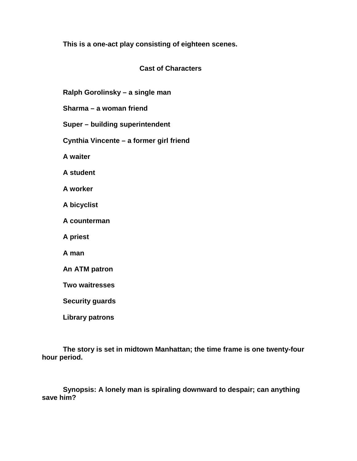**This is a one-act play consisting of eighteen scenes.**

# **Cast of Characters**

**Ralph Gorolinsky – a single man**

**Sharma – a woman friend**

**Super – building superintendent**

**Cynthia Vincente – a former girl friend**

**A waiter**

**A student**

**A worker**

**A bicyclist**

**A counterman**

**A priest**

**A man**

**An ATM patron**

**Two waitresses**

**Security guards**

**Library patrons**

**The story is set in midtown Manhattan; the time frame is one twenty-four hour period.**

**Synopsis: A lonely man is spiraling downward to despair; can anything save him?**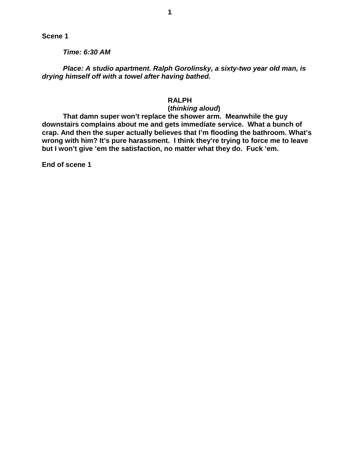*Time: 6:30 AM*

*Place: A studio apartment. Ralph Gorolinsky, a sixty-two year old man, is drying himself off with a towel after having bathed.*

# **RALPH**

#### **(***thinking aloud***)**

**That damn super won't replace the shower arm. Meanwhile the guy downstairs complains about me and gets immediate service. What a bunch of crap. And then the super actually believes that I'm flooding the bathroom. What's wrong with him? It's pure harassment. I think they're trying to force me to leave but I won't give 'em the satisfaction, no matter what they do. Fuck 'em.**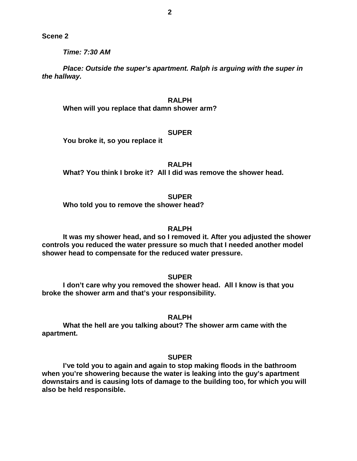*Time: 7:30 AM*

*Place: Outside the super's apartment. Ralph is arguing with the super in the hallway.*

# **RALPH**

**When will you replace that damn shower arm?**

#### **SUPER**

**You broke it, so you replace it**

**RALPH**

**What? You think I broke it? All I did was remove the shower head.**

#### **SUPER**

**Who told you to remove the shower head?**

#### **RALPH**

**It was my shower head, and so I removed it. After you adjusted the shower controls you reduced the water pressure so much that I needed another model shower head to compensate for the reduced water pressure.**

**SUPER**

**I don't care why you removed the shower head. All I know is that you broke the shower arm and that's your responsibility.**

**RALPH**

**What the hell are you talking about? The shower arm came with the apartment.**

# **SUPER**

**I've told you to again and again to stop making floods in the bathroom when you're showering because the water is leaking into the guy's apartment downstairs and is causing lots of damage to the building too, for which you will also be held responsible.**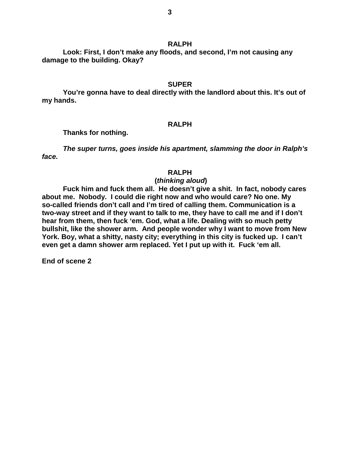# **RALPH**

**Look: First, I don't make any floods, and second, I'm not causing any damage to the building. Okay?**

# **SUPER**

**You're gonna have to deal directly with the landlord about this. It's out of my hands.**

# **RALPH**

**Thanks for nothing.**

*The super turns, goes inside his apartment, slamming the door in Ralph's face.*

### **RALPH**

# **(***thinking aloud***)**

**Fuck him and fuck them all. He doesn't give a shit. In fact, nobody cares about me. Nobody. I could die right now and who would care? No one. My so-called friends don't call and I'm tired of calling them. Communication is a two-way street and if they want to talk to me, they have to call me and if I don't hear from them, then fuck 'em. God, what a life. Dealing with so much petty bullshit, like the shower arm. And people wonder why I want to move from New York. Boy, what a shitty, nasty city; everything in this city is fucked up. I can't even get a damn shower arm replaced. Yet I put up with it. Fuck 'em all.**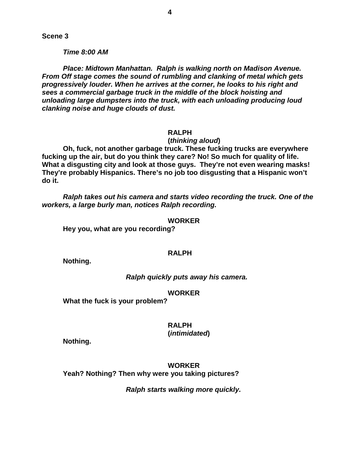*Time 8:00 AM*

*Place: Midtown Manhattan. Ralph is walking north on Madison Avenue. From Off stage comes the sound of rumbling and clanking of metal which gets progressively louder. When he arrives at the corner, he looks to his right and sees a commercial garbage truck in the middle of the block hoisting and unloading large dumpsters into the truck, with each unloading producing loud clanking noise and huge clouds of dust.*

### **RALPH**

#### **(***thinking aloud***)**

**Oh, fuck, not another garbage truck. These fucking trucks are everywhere fucking up the air, but do you think they care? No! So much for quality of life. What a disgusting city and look at those guys. They're not even wearing masks! They're probably Hispanics. There's no job too disgusting that a Hispanic won't do it.**

*Ralph takes out his camera and starts video recording the truck. One of the workers, a large burly man, notices Ralph recording.*

#### **WORKER**

**Hey you, what are you recording?**

#### **RALPH**

**Nothing.**

### *Ralph quickly puts away his camera.*

#### **WORKER**

**What the fuck is your problem?**

### **RALPH**

#### **(***intimidated***)**

**Nothing.**

**WORKER Yeah? Nothing? Then why were you taking pictures?**

*Ralph starts walking more quickly.*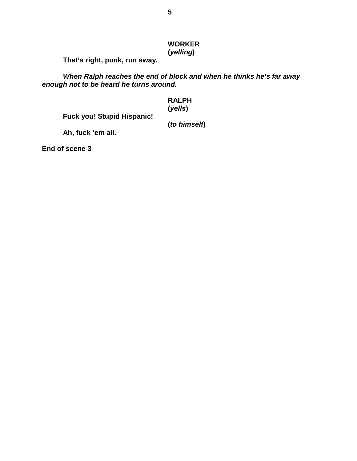# **WORKER (***yelling***)**

**That's right, punk, run away.**

*When Ralph reaches the end of block and when he thinks he's far away enough not to be heard he turns around.*

### **RALPH (***yells***)**

**Fuck you! Stupid Hispanic!**

# **(***to himself***)**

**Ah, fuck 'em all.**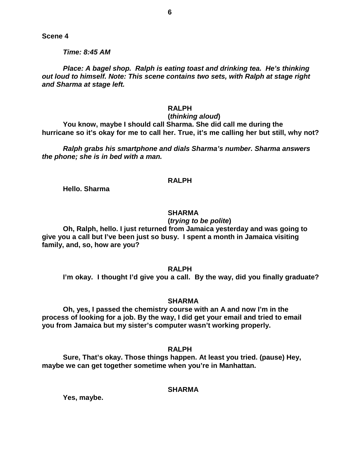*Time: 8:45 AM*

*Place: A bagel shop. Ralph is eating toast and drinking tea. He's thinking out loud to himself. Note: This scene contains two sets, with Ralph at stage right and Sharma at stage left.*

### **RALPH**

# **(***thinking aloud***)**

**You know, maybe I should call Sharma. She did call me during the hurricane so it's okay for me to call her. True, it's me calling her but still, why not?**

*Ralph grabs his smartphone and dials Sharma's number. Sharma answers the phone; she is in bed with a man.*

### **RALPH**

**Hello. Sharma**

### **SHARMA**

# **(***trying to be polite***)**

**Oh, Ralph, hello. I just returned from Jamaica yesterday and was going to give you a call but I've been just so busy. I spent a month in Jamaica visiting family, and, so, how are you?**

**RALPH**

**I'm okay. I thought I'd give you a call. By the way, did you finally graduate?**

#### **SHARMA**

**Oh, yes, I passed the chemistry course with an A and now I'm in the process of looking for a job. By the way, I did get your email and tried to email you from Jamaica but my sister's computer wasn't working properly.**

**RALPH**

**Sure, That's okay. Those things happen. At least you tried. (pause) Hey, maybe we can get together sometime when you're in Manhattan.**

**SHARMA**

**Yes, maybe.**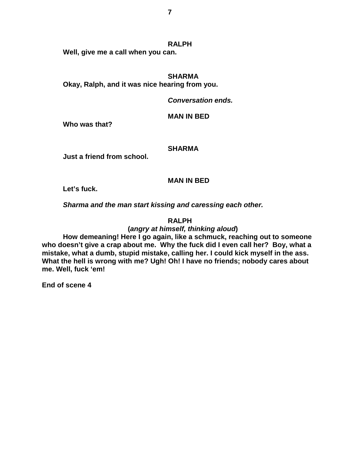#### **RALPH**

**Well, give me a call when you can.**

#### **SHARMA**

**Okay, Ralph, and it was nice hearing from you.**

*Conversation ends.*

## **MAN IN BED**

**Who was that?**

### **SHARMA**

**Just a friend from school.**

# **MAN IN BED**

**Let's fuck.**

*Sharma and the man start kissing and caressing each other.*

# **RALPH**

# **(***angry at himself, thinking aloud***)**

**How demeaning! Here I go again, like a schmuck, reaching out to someone who doesn't give a crap about me. Why the fuck did I even call her? Boy, what a mistake, what a dumb, stupid mistake, calling her. I could kick myself in the ass. What the hell is wrong with me? Ugh! Oh! I have no friends; nobody cares about me. Well, fuck 'em!**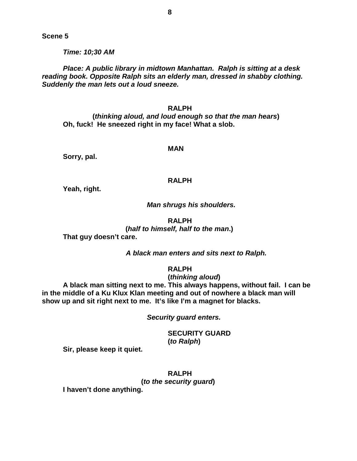*Time: 10;30 AM*

*Place: A public library in midtown Manhattan. Ralph is sitting at a desk reading book. Opposite Ralph sits an elderly man, dressed in shabby clothing. Suddenly the man lets out a loud sneeze.*

#### **RALPH**

 **(***thinking aloud, and loud enough so that the man hears***) Oh, fuck! He sneezed right in my face! What a slob.**

#### **MAN**

**Sorry, pal.**

### **RALPH**

**Yeah, right.**

#### *Man shrugs his shoulders.*

#### **RALPH**

 **(***half to himself, half to the man***.) That guy doesn't care.**

*A black man enters and sits next to Ralph.*

### **RALPH**

#### **(***thinking aloud***)**

**A black man sitting next to me. This always happens, without fail. I can be in the middle of a Ku Klux Klan meeting and out of nowhere a black man will show up and sit right next to me. It's like I'm a magnet for blacks.**

*Security guard enters.*

**SECURITY GUARD (***to Ralph***)**

**Sir, please keep it quiet.**

**RALPH (***to the security guard***)**

**I haven't done anything.**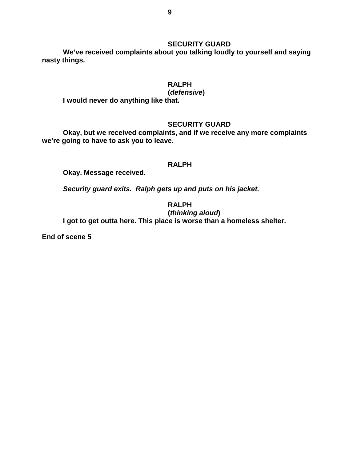# **SECURITY GUARD**

**We've received complaints about you talking loudly to yourself and saying nasty things.**

# **RALPH**

# **(***defensive***)**

**I would never do anything like that.**

# **SECURITY GUARD**

**Okay, but we received complaints, and if we receive any more complaints we're going to have to ask you to leave.**

# **RALPH**

**Okay. Message received.**

*Security guard exits. Ralph gets up and puts on his jacket.*

**RALPH**

**(***thinking aloud***)**

**I got to get outta here. This place is worse than a homeless shelter.**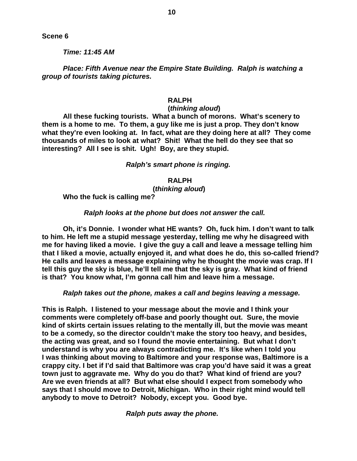*Time: 11:45 AM*

*Place: Fifth Avenue near the Empire State Building. Ralph is watching a group of tourists taking pictures.*

# **RALPH**

### **(***thinking aloud***)**

**All these fucking tourists. What a bunch of morons. What's scenery to them is a home to me. To them, a guy like me is just a prop. They don't know what they're even looking at. In fact, what are they doing here at all? They come thousands of miles to look at what? Shit! What the hell do they see that so interesting? All I see is shit. Ugh! Boy, are they stupid.**

### *Ralph's smart phone is ringing.*

#### **RALPH**

#### **(***thinking aloud***)**

**Who the fuck is calling me?**

# *Ralph looks at the phone but does not answer the call.*

**Oh, it's Donnie. I wonder what HE wants? Oh, fuck him. I don't want to talk to him. He left me a stupid message yesterday, telling me why he disagreed with me for having liked a movie. I give the guy a call and leave a message telling him that I liked a movie, actually enjoyed it, and what does he do, this so-called friend? He calls and leaves a message explaining why he thought the movie was crap. If I tell this guy the sky is blue, he'll tell me that the sky is gray. What kind of friend is that? You know what, I'm gonna call him and leave him a message.**

*Ralph takes out the phone, makes a call and begins leaving a message.*

**This is Ralph. I listened to your message about the movie and I think your comments were completely off-base and poorly thought out. Sure, the movie kind of skirts certain issues relating to the mentally ill, but the movie was meant to be a comedy, so the director couldn't make the story too heavy, and besides, the acting was great, and so I found the movie entertaining. But what I don't understand is why you are always contradicting me. It's like when I told you I was thinking about moving to Baltimore and your response was, Baltimore is a crappy city. I bet if I'd said that Baltimore was crap you'd have said it was a great town just to aggravate me. Why do you do that? What kind of friend are you? Are we even friends at all? But what else should I expect from somebody who says that I should move to Detroit, Michigan. Who in their right mind would tell anybody to move to Detroit? Nobody, except you. Good bye.**

*Ralph puts away the phone.*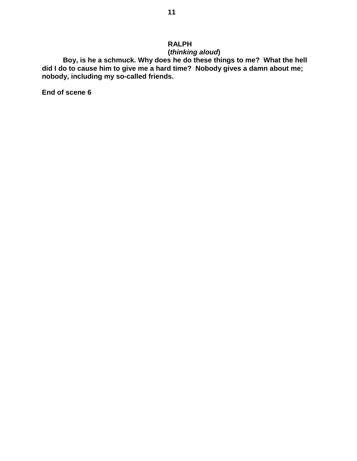# **RALPH**

**(***thinking aloud***)**

**Boy, is he a schmuck. Why does he do these things to me? What the hell did I do to cause him to give me a hard time? Nobody gives a damn about me; nobody, including my so-called friends.**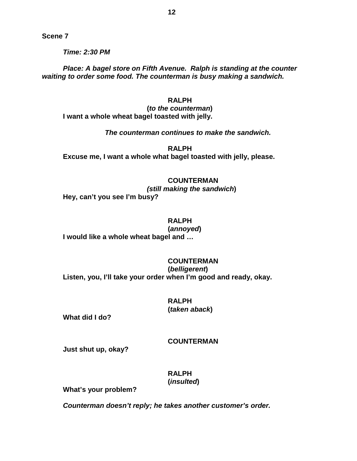*Time: 2:30 PM*

*Place: A bagel store on Fifth Avenue. Ralph is standing at the counter waiting to order some food. The counterman is busy making a sandwich.*

### **RALPH**

**(***to the counterman***) I want a whole wheat bagel toasted with jelly.**

*The counterman continues to make the sandwich.*

**RALPH Excuse me, I want a whole what bagel toasted with jelly, please.**

### **COUNTERMAN**

*(still making the sandwich***) Hey, can't you see I'm busy?**

# **RALPH**

**(***annoyed***) I would like a whole wheat bagel and …**

# **COUNTERMAN**

**(***belligerent***) Listen, you, I'll take your order when I'm good and ready, okay.**

# **RALPH (***taken aback***)**

**What did I do?**

#### **COUNTERMAN**

**Just shut up, okay?**

**RALPH (***insulted***)**

**What's your problem?**

*Counterman doesn't reply; he takes another customer's order.*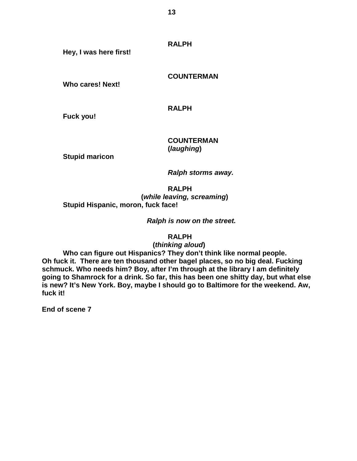**RALPH**

**Hey, I was here first!**

**COUNTERMAN**

**Who cares! Next!**

**RALPH**

**Fuck you!**

**COUNTERMAN (***laughing***)**

**Stupid maricon**

*Ralph storms away.*

**RALPH (***while leaving, screaming***) Stupid Hispanic, moron, fuck face!**

*Ralph is now on the street.*

**RALPH**

 **(***thinking aloud***)**

**Who can figure out Hispanics? They don't think like normal people. Oh fuck it. There are ten thousand other bagel places, so no big deal. Fucking schmuck. Who needs him? Boy, after I'm through at the library I am definitely going to Shamrock for a drink. So far, this has been one shitty day, but what else is new? It's New York. Boy, maybe I should go to Baltimore for the weekend. Aw, fuck it!**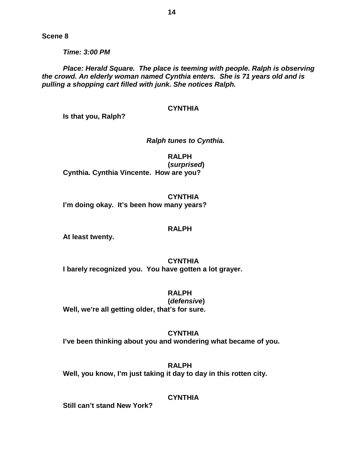*Time: 3:00 PM*

*Place: Herald Square. The place is teeming with people. Ralph is observing the crowd. An elderly woman named Cynthia enters. She is 71 years old and is pulling a shopping cart filled with junk. She notices Ralph.*

# **CYNTHIA**

**Is that you, Ralph?**

# *Ralph tunes to Cynthia.*

**RALPH (***surprised***) Cynthia. Cynthia Vincente. How are you?**

**CYNTHIA I'm doing okay. It's been how many years?**

#### **RALPH**

**At least twenty.**

**CYNTHIA I barely recognized you. You have gotten a lot grayer.**

**RALPH (***defensive***) Well, we're all getting older, that's for sure.**

**CYNTHIA I've been thinking about you and wondering what became of you.**

**RALPH Well, you know, I'm just taking it day to day in this rotten city.**

# **CYNTHIA**

**Still can't stand New York?**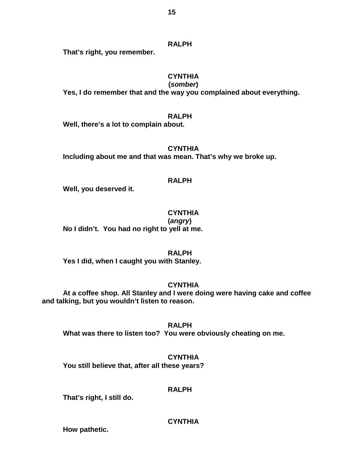# **RALPH**

**That's right, you remember.**

# **CYNTHIA**

 **(***somber***) Yes, I do remember that and the way you complained about everything.**

# **RALPH**

**Well, there's a lot to complain about.**

**CYNTHIA Including about me and that was mean. That's why we broke up.**

# **RALPH**

**Well, you deserved it.** 

**CYNTHIA**

**(***angry***) No I didn't. You had no right to yell at me.**

# **RALPH**

**Yes I did, when I caught you with Stanley.**

# **CYNTHIA**

**At a coffee shop. All Stanley and I were doing were having cake and coffee and talking, but you wouldn't listen to reason.**

**RALPH What was there to listen too? You were obviously cheating on me.**

**CYNTHIA You still believe that, after all these years?**

# **RALPH**

**That's right, I still do.**

# **CYNTHIA**

**How pathetic.**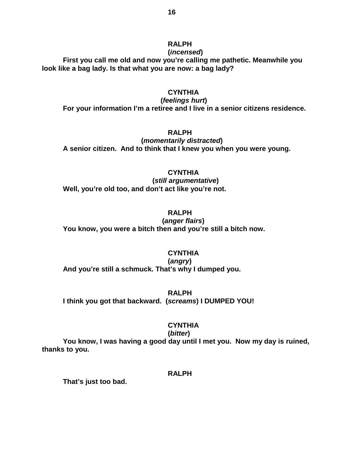#### **RALPH (***incensed***)**

**First you call me old and now you're calling me pathetic. Meanwhile you look like a bag lady. Is that what you are now: a bag lady?**

### **CYNTHIA**

 **(***feelings hurt***) For your information I'm a retiree and I live in a senior citizens residence.**

# **RALPH**

 **(***momentarily distracted***) A senior citizen. And to think that I knew you when you were young.**

#### **CYNTHIA**

 **(***still argumentative***) Well, you're old too, and don't act like you're not.**

# **RALPH**

 **(***anger flairs***) You know, you were a bitch then and you're still a bitch now.**

# **CYNTHIA**

**(***angry***) And you're still a schmuck. That's why I dumped you.** 

### **RALPH**

**I think you got that backward. (***screams***) I DUMPED YOU!**

#### **CYNTHIA**

#### **(***bitter***)**

**You know, I was having a good day until I met you. Now my day is ruined, thanks to you.**

# **RALPH**

**That's just too bad.**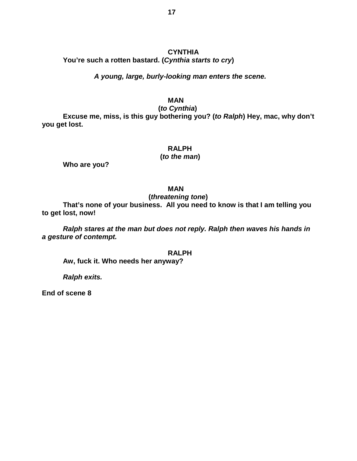# **CYNTHIA You're such a rotten bastard. (***Cynthia starts to cry***)**

# *A young, large, burly-looking man enters the scene.*

# **MAN**

 **(***to Cynthia***)**

**Excuse me, miss, is this guy bothering you? (***to Ralph***) Hey, mac, why don't you get lost.**

# **RALPH**

#### **(***to the man***)**

**Who are you?**

#### **MAN**

# **(***threatening tone***)**

**That's none of your business. All you need to know is that I am telling you to get lost, now!**

*Ralph stares at the man but does not reply. Ralph then waves his hands in a gesture of contempt.*

#### **RALPH**

**Aw, fuck it. Who needs her anyway?**

*Ralph exits.*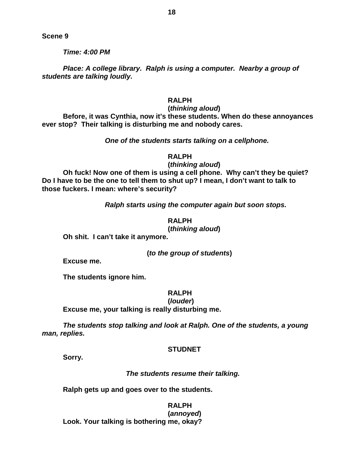*Time: 4:00 PM*

*Place: A college library. Ralph is using a computer. Nearby a group of students are talking loudly.*

# **RALPH**

#### **(***thinking aloud***)**

**Before, it was Cynthia, now it's these students. When do these annoyances ever stop? Their talking is disturbing me and nobody cares.**

### *One of the students starts talking on a cellphone.*

### **RALPH**

### **(***thinking aloud***)**

**Oh fuck! Now one of them is using a cell phone. Why can't they be quiet? Do I have to be the one to tell them to shut up? I mean, I don't want to talk to those fuckers. I mean: where's security?**

*Ralph starts using the computer again but soon stops.*

### **RALPH (***thinking aloud***)**

**Oh shit. I can't take it anymore.**

**(***to the group of students***)**

**Excuse me.**

**The students ignore him.**

### **RALPH**

**(***louder***)**

**Excuse me, your talking is really disturbing me.**

*The students stop talking and look at Ralph. One of the students, a young man, replies.*

### **STUDNET**

**Sorry.**

#### *The students resume their talking.*

**Ralph gets up and goes over to the students.**

#### **RALPH (***annoyed***)**

**Look. Your talking is bothering me, okay?**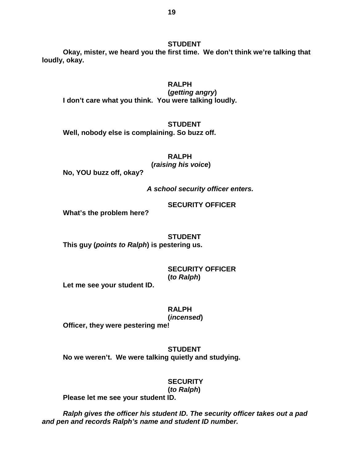**Okay, mister, we heard you the first time. We don't think we're talking that loudly, okay.**

# **RALPH**

**(***getting angry***) I don't care what you think. You were talking loudly.**

### **STUDENT**

**Well, nobody else is complaining. So buzz off.**

**RALPH**

 **(***raising his voice***)**

**No, YOU buzz off, okay?**

*A school security officer enters.*

# **SECURITY OFFICER**

**What's the problem here?**

# **STUDENT**

**This guy (***points to Ralph***) is pestering us.**

# **SECURITY OFFICER (***to Ralph***)**

**Let me see your student ID.**

**RALPH**

### **(***incensed***)**

**Officer, they were pestering me!**

# **STUDENT No we weren't. We were talking quietly and studying.**

# **SECURITY (***to Ralph***)**

**Please let me see your student ID.**

*Ralph gives the officer his student ID. The security officer takes out a pad and pen and records Ralph's name and student ID number.*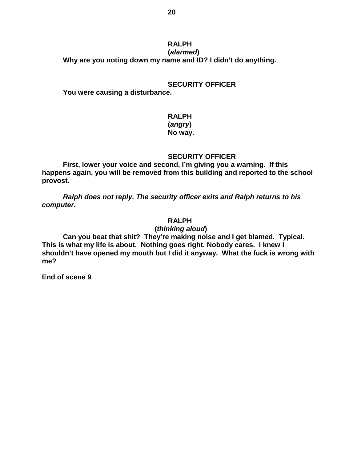#### **RALPH (***alarmed***)**

**Why are you noting down my name and ID? I didn't do anything.**

### **SECURITY OFFICER**

**You were causing a disturbance.**

# **RALPH**

# **(***angry***)**

# **No way.**

# **SECURITY OFFICER**

**First, lower your voice and second, I'm giving you a warning. If this happens again, you will be removed from this building and reported to the school provost.**

*Ralph does not reply. The security officer exits and Ralph returns to his computer.*

# **RALPH**

 **(***thinking aloud***)**

**Can you beat that shit? They're making noise and I get blamed. Typical. This is what my life is about. Nothing goes right. Nobody cares. I knew I shouldn't have opened my mouth but I did it anyway. What the fuck is wrong with me?**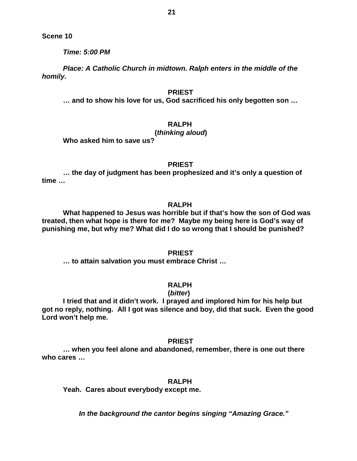*Time: 5:00 PM*

*Place: A Catholic Church in midtown. Ralph enters in the middle of the homily.*

#### **PRIEST**

**… and to show his love for us, God sacrificed his only begotten son …**

**RALPH**

# **(***thinking aloud***)**

**Who asked him to save us?**

**PRIEST**

**… the day of judgment has been prophesized and it's only a question of time …**

### **RALPH**

**What happened to Jesus was horrible but if that's how the son of God was treated, then what hope is there for me? Maybe my being here is God's way of punishing me, but why me? What did I do so wrong that I should be punished?**

**PRIEST**

**… to attain salvation you must embrace Christ …**

# **RALPH**

#### **(***bitter***)**

**I tried that and it didn't work. I prayed and implored him for his help but got no reply, nothing. All I got was silence and boy, did that suck. Even the good Lord won't help me.**

#### **PRIEST**

**… when you feel alone and abandoned, remember, there is one out there who cares …**

#### **RALPH**

**Yeah. Cares about everybody except me.**

 *In the background the cantor begins singing "Amazing Grace."*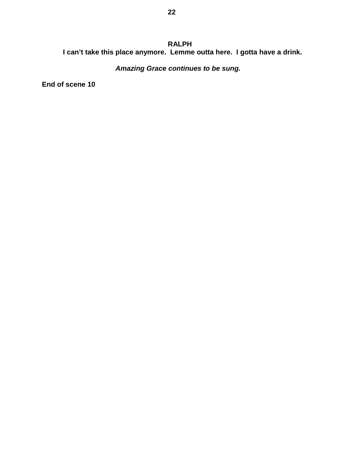# **RALPH I can't take this place anymore. Lemme outta here. I gotta have a drink.**

 *Amazing Grace continues to be sung.*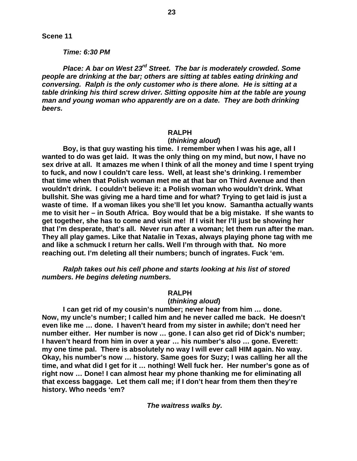#### *Time: 6:30 PM*

*Place: A bar on West 23rd Street. The bar is moderately crowded. Some people are drinking at the bar; others are sitting at tables eating drinking and conversing. Ralph is the only customer who is there alone. He is sitting at a table drinking his third screw driver. Sitting opposite him at the table are young man and young woman who apparently are on a date. They are both drinking beers.*

**23**

#### **RALPH**

#### **(***thinking aloud***)**

**Boy, is that guy wasting his time. I remember when I was his age, all I wanted to do was get laid. It was the only thing on my mind, but now, I have no sex drive at all. It amazes me when I think of all the money and time I spent trying to fuck, and now I couldn't care less. Well, at least she's drinking. I remember that time when that Polish woman met me at that bar on Third Avenue and then wouldn't drink. I couldn't believe it: a Polish woman who wouldn't drink. What bullshit. She was giving me a hard time and for what? Trying to get laid is just a waste of time. If a woman likes you she'll let you know. Samantha actually wants me to visit her – in South Africa. Boy would that be a big mistake. If she wants to get together, she has to come and visit me! If I visit her I'll just be showing her that I'm desperate, that's all. Never run after a woman; let them run after the man. They all play games. Like that Natalie in Texas, always playing phone tag with me and like a schmuck I return her calls. Well I'm through with that. No more reaching out. I'm deleting all their numbers; bunch of ingrates. Fuck 'em.**

*Ralph takes out his cell phone and starts looking at his list of stored numbers. He begins deleting numbers.*

#### **RALPH**

#### **(***thinking aloud***)**

**I can get rid of my cousin's number; never hear from him … done. Now, my uncle's number; I called him and he never called me back. He doesn't even like me … done. I haven't heard from my sister in awhile; don't need her number either. Her number is now … gone. I can also get rid of Dick's number; I haven't heard from him in over a year … his number's also … gone. Everett: my one time pal. There is absolutely no way I will ever call HIM again. No way. Okay, his number's now … history. Same goes for Suzy; I was calling her all the time, and what did I get for it … nothing! Well fuck her. Her number's gone as of right now … Done! I can almost hear my phone thanking me for eliminating all that excess baggage. Let them call me; if I don't hear from them then they're history. Who needs 'em?**

*The waitress walks by.*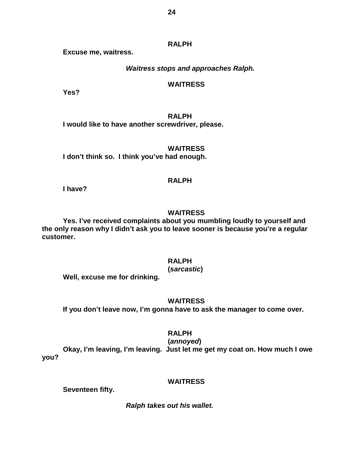**RALPH**

**Excuse me, waitress.**

*Waitress stops and approaches Ralph.*

# **WAITRESS**

**Yes?**

**RALPH I would like to have another screwdriver, please.**

**WAITRESS I don't think so. I think you've had enough.**

# **RALPH**

**I have?**

### **WAITRESS**

**Yes. I've received complaints about you mumbling loudly to yourself and the only reason why I didn't ask you to leave sooner is because you're a regular customer.**

### **RALPH**

# **(***sarcastic***)**

**Well, excuse me for drinking.** 

# **WAITRESS**

**If you don't leave now, I'm gonna have to ask the manager to come over.**

### **RALPH**

**(***annoyed***)**

**Okay, I'm leaving, I'm leaving. Just let me get my coat on. How much I owe you?**

# **WAITRESS**

**Seventeen fifty.**

*Ralph takes out his wallet.*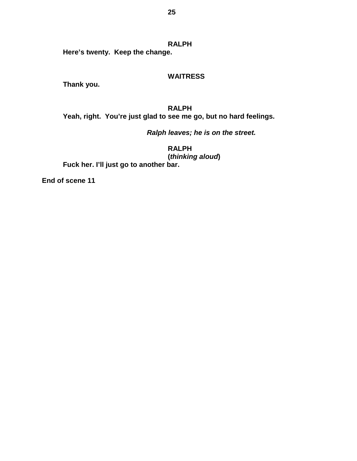**RALPH Here's twenty. Keep the change.**

### **WAITRESS**

**Thank you.** 

**RALPH Yeah, right. You're just glad to see me go, but no hard feelings.**

*Ralph leaves; he is on the street.*

**RALPH (***thinking aloud***) Fuck her. I'll just go to another bar.**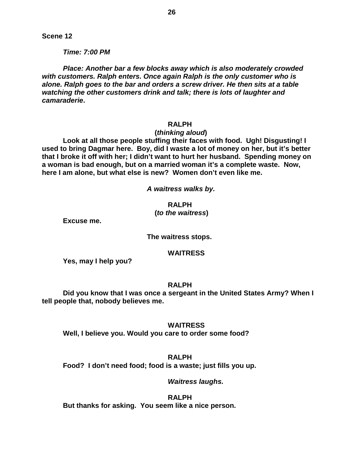*Time: 7:00 PM*

*Place: Another bar a few blocks away which is also moderately crowded with customers. Ralph enters. Once again Ralph is the only customer who is alone. Ralph goes to the bar and orders a screw driver. He then sits at a table watching the other customers drink and talk; there is lots of laughter and camaraderie***.**

# **RALPH**

# **(***thinking aloud***)**

**Look at all those people stuffing their faces with food. Ugh! Disgusting! I used to bring Dagmar here. Boy, did I waste a lot of money on her, but it's better that I broke it off with her; I didn't want to hurt her husband. Spending money on a woman is bad enough, but on a married woman it's a complete waste. Now, here I am alone, but what else is new? Women don't even like me.**

*A waitress walks by.*

### **RALPH**

### **(***to the waitress***)**

**Excuse me.**

**The waitress stops.**

#### **WAITRESS**

**Yes, may I help you?**

#### **RALPH**

**Did you know that I was once a sergeant in the United States Army? When I tell people that, nobody believes me.**

#### **WAITRESS**

**Well, I believe you. Would you care to order some food?**

# **RALPH**

**Food? I don't need food; food is a waste; just fills you up.**

### *Waitress laughs.*

**RALPH But thanks for asking. You seem like a nice person.**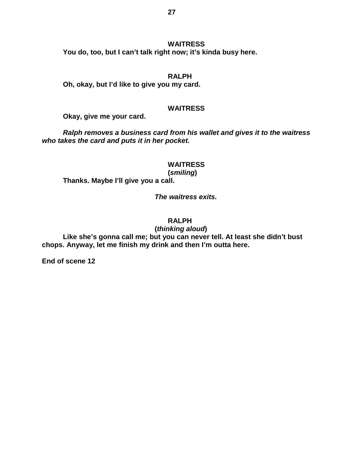#### **WAITRESS**

**You do, too, but I can't talk right now; it's kinda busy here.**

#### **RALPH**

**Oh, okay, but I'd like to give you my card.**

#### **WAITRESS**

**Okay, give me your card.**

*Ralph removes a business card from his wallet and gives it to the waitress who takes the card and puts it in her pocket.* 

# **WAITRESS**

**(***smiling***)**

**Thanks. Maybe I'll give you a call.**

 *The waitress exits.*

# **RALPH**

 **(***thinking aloud***)**

**Like she's gonna call me; but you can never tell. At least she didn't bust chops. Anyway, let me finish my drink and then I'm outta here.**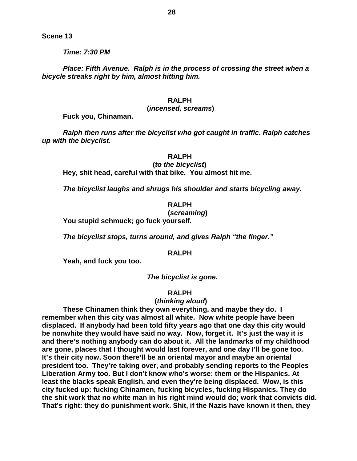*Time: 7:30 PM*

*Place: Fifth Avenue. Ralph is in the process of crossing the street when a bicycle streaks right by him, almost hitting him.*

### **RALPH**

#### **(***incensed, screams***)**

**Fuck you, Chinaman.**

*Ralph then runs after the bicyclist who got caught in traffic. Ralph catches up with the bicyclist.*

#### **RALPH**

 **(***to the bicyclist***) Hey, shit head, careful with that bike. You almost hit me.**

*The bicyclist laughs and shrugs his shoulder and starts bicycling away.*

#### **RALPH**

# **(***screaming***)**

**You stupid schmuck; go fuck yourself.** 

*The bicyclist stops, turns around, and gives Ralph "the finger."*

#### **RALPH**

**Yeah, and fuck you too.**

*The bicyclist is gone.*

#### **RALPH**

#### **(***thinking aloud***)**

**These Chinamen think they own everything, and maybe they do. I remember when this city was almost all white. Now white people have been displaced. If anybody had been told fifty years ago that one day this city would be nonwhite they would have said no way. Now, forget it. It's just the way it is and there's nothing anybody can do about it. All the landmarks of my childhood are gone, places that I thought would last forever, and one day I'll be gone too. It's their city now. Soon there'll be an oriental mayor and maybe an oriental president too. They're taking over, and probably sending reports to the Peoples Liberation Army too. But I don't know who's worse: them or the Hispanics. At least the blacks speak English, and even they're being displaced. Wow, is this city fucked up: fucking Chinamen, fucking bicycles, fucking Hispanics. They do the shit work that no white man in his right mind would do; work that convicts did. That's right: they do punishment work. Shit, if the Nazis have known it then, they**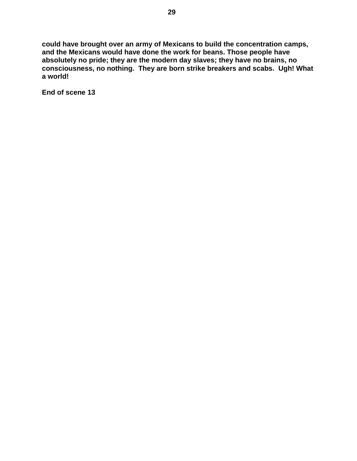**could have brought over an army of Mexicans to build the concentration camps, and the Mexicans would have done the work for beans. Those people have absolutely no pride; they are the modern day slaves; they have no brains, no consciousness, no nothing. They are born strike breakers and scabs. Ugh! What a world!**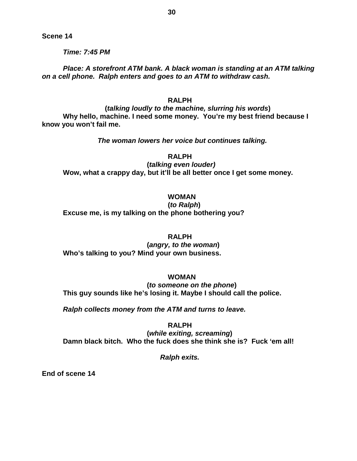*Time: 7:45 PM*

*Place: A storefront ATM bank. A black woman is standing at an ATM talking on a cell phone. Ralph enters and goes to an ATM to withdraw cash.*

# **RALPH**

**(***talking loudly to the machine, slurring his words***) Why hello, machine. I need some money. You're my best friend because I know you won't fail me.**

*The woman lowers her voice but continues talking.*

**RALPH**

**(***talking even louder)* **Wow, what a crappy day, but it'll be all better once I get some money.**

# **WOMAN**

**(***to Ralph***) Excuse me, is my talking on the phone bothering you?**

#### **RALPH**

**(***angry, to the woman***) Who's talking to you? Mind your own business.**

### **WOMAN**

**(***to someone on the phone***) This guy sounds like he's losing it. Maybe I should call the police.**

*Ralph collects money from the ATM and turns to leave.*

**RALPH (***while exiting, screaming***) Damn black bitch. Who the fuck does she think she is? Fuck 'em all!**

 *Ralph exits.*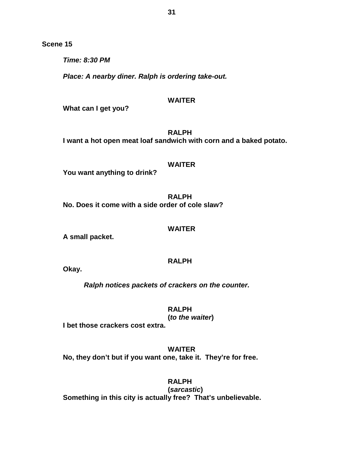*Time: 8:30 PM* 

*Place: A nearby diner. Ralph is ordering take-out.*

### **WAITER**

**What can I get you?**

**RALPH I want a hot open meat loaf sandwich with corn and a baked potato.**

# **WAITER**

**You want anything to drink?**

**RALPH No. Does it come with a side order of cole slaw?**

#### **WAITER**

**A small packet.**

# **RALPH**

**Okay.**

*Ralph notices packets of crackers on the counter.*

**RALPH**

# **(***to the waiter***)**

**I bet those crackers cost extra.**

**WAITER No, they don't but if you want one, take it. They're for free.**

**RALPH**

**(***sarcastic***) Something in this city is actually free? That's unbelievable.**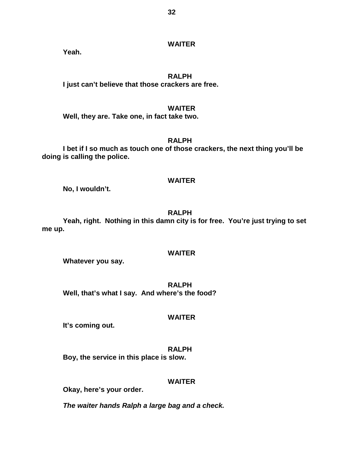# **WAITER**

**Yeah.**

### **RALPH**

**I just can't believe that those crackers are free.**

### **WAITER**

**Well, they are. Take one, in fact take two.**

# **RALPH**

**I bet if I so much as touch one of those crackers, the next thing you'll be doing is calling the police.** 

# **WAITER**

**No, I wouldn't.**

# **RALPH**

**Yeah, right. Nothing in this damn city is for free. You're just trying to set me up.**

#### **WAITER**

**Whatever you say.**

**RALPH Well, that's what I say. And where's the food?**

### **WAITER**

**It's coming out.**

# **RALPH**

**Boy, the service in this place is slow.**

# **WAITER**

**Okay, here's your order.**

*The waiter hands Ralph a large bag and a check.*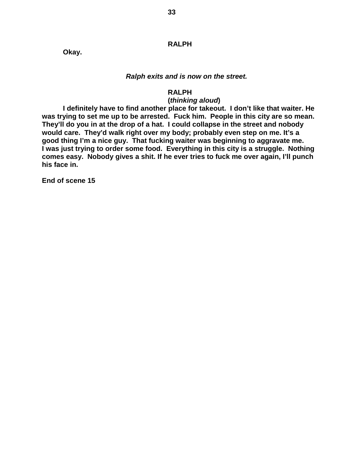### **RALPH**

**Okay.**

#### *Ralph exits and is now on the street.*

### **RALPH**

### **(***thinking aloud***)**

**I definitely have to find another place for takeout. I don't like that waiter. He was trying to set me up to be arrested. Fuck him. People in this city are so mean. They'll do you in at the drop of a hat. I could collapse in the street and nobody would care. They'd walk right over my body; probably even step on me. It's a good thing I'm a nice guy. That fucking waiter was beginning to aggravate me. I was just trying to order some food. Everything in this city is a struggle. Nothing comes easy. Nobody gives a shit. If he ever tries to fuck me over again, I'll punch his face in.**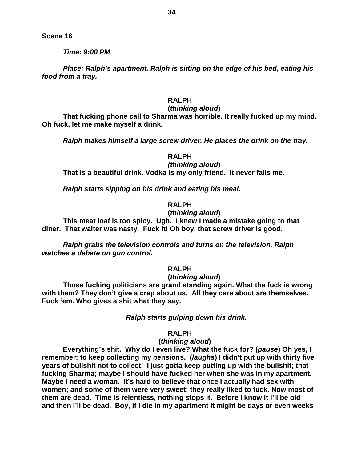*Time: 9:00 PM*

*Place: Ralph's apartment. Ralph is sitting on the edge of his bed, eating his food from a tray.*

# **RALPH**

#### **(***thinking aloud***)**

**That fucking phone call to Sharma was horrible. It really fucked up my mind. Oh fuck, let me make myself a drink.**

*Ralph makes himself a large screw driver. He places the drink on the tray.*

### **RALPH**

# *(thinking aloud***)**

**That is a beautiful drink. Vodka is my only friend. It never fails me.** 

*Ralph starts sipping on his drink and eating his meal.*

# **RALPH**

## **(***thinking aloud***)**

**This meat loaf is too spicy. Ugh. I knew I made a mistake going to that diner. That waiter was nasty. Fuck it! Oh boy, that screw driver is good.** 

*Ralph grabs the television controls and turns on the television. Ralph watches a debate on gun control.*

# **RALPH**

#### **(***thinking aloud***)**

**Those fucking politicians are grand standing again. What the fuck is wrong with them? They don't give a crap about us. All they care about are themselves. Fuck 'em. Who gives a shit what they say.**

### *Ralph starts gulping down his drink.*

### **RALPH**

### **(***thinking aloud***)**

**Everything's shit. Why do I even live? What the fuck for? (***pause***) Oh yes, I remember: to keep collecting my pensions. (***laughs***) I didn't put up with thirty five years of bullshit not to collect. I just gotta keep putting up with the bullshit; that fucking Sharma; maybe I should have fucked her when she was in my apartment. Maybe I need a woman. It's hard to believe that once I actually had sex with women; and some of them were very sweet; they really liked to fuck. Now most of them are dead. Time is relentless, nothing stops it. Before I know it I'll be old and then I'll be dead. Boy, if I die in my apartment it might be days or even weeks**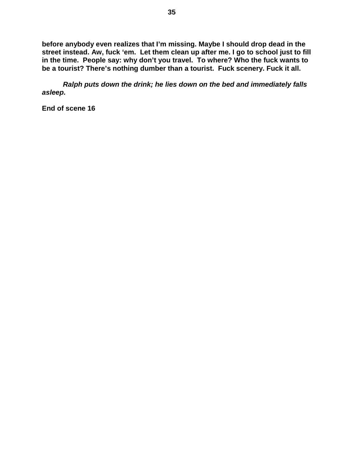**before anybody even realizes that I'm missing. Maybe I should drop dead in the street instead. Aw, fuck 'em. Let them clean up after me. I go to school just to fill in the time. People say: why don't you travel. To where? Who the fuck wants to be a tourist? There's nothing dumber than a tourist. Fuck scenery. Fuck it all.**

*Ralph puts down the drink; he lies down on the bed and immediately falls asleep.*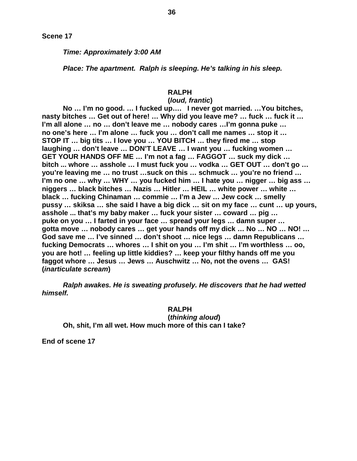*Time: Approximately 3:00 AM*

*Place: The apartment. Ralph is sleeping. He's talking in his sleep.*

# **RALPH**

# **(***loud, frantic***)**

**No … I'm no good. … I fucked up…. I never got married. …You bitches, nasty bitches … Get out of here! … Why did you leave me? … fuck … fuck it … I'm all alone … no … don't leave me … nobody cares …I'm gonna puke … no one's here … I'm alone … fuck you … don't call me names … stop it … STOP IT … big tits … I love you … YOU BITCH … they fired me … stop laughing … don't leave … DON'T LEAVE … I want you … fucking women … GET YOUR HANDS OFF ME … I'm not a fag … FAGGOT … suck my dick … bitch ... whore … asshole … I must fuck you … vodka … GET OUT … don't go … you're leaving me … no trust …suck on this … schmuck … you're no friend … I'm no one … why … WHY … you fucked him … I hate you … nigger … big ass … niggers … black bitches … Nazis … Hitler … HEIL … white power … white … black … fucking Chinaman … commie … I'm a Jew … Jew cock … smelly pussy … skiksa … she said I have a big dick … sit on my face … cunt … up yours, asshole ... that's my baby maker … fuck your sister … coward … pig … puke on you … I farted in your face … spread your legs … damn super … gotta move … nobody cares … get your hands off my dick … No … NO … NO! … God save me … I've sinned … don't shoot … nice legs … damn Republicans … fucking Democrats … whores … I shit on you … I'm shit … I'm worthless … oo, you are hot! … feeling up little kiddies? … keep your filthy hands off me you faggot whore … Jesus … Jews … Auschwitz … No, not the ovens … GAS! (***inarticulate scream***)**

*Ralph awakes. He is sweating profusely. He discovers that he had wetted himself.*

# **RALPH**

**(***thinking aloud***) Oh, shit, I'm all wet. How much more of this can I take?**